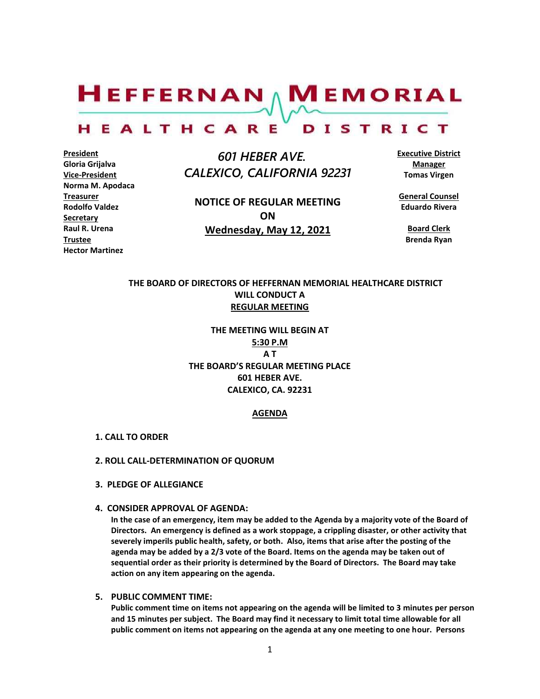$H$ EFFERNAN  $\wedge$  M EMORIAL

#### HEALTHCARE DISTRICT

**President Gloria Grijalva Vice-President Norma M. Apodaca Treasurer Rodolfo Valdez Secretary Raul R. Urena Trustee Hector Martinez**

 *601 HEBER AVE. CALEXICO, CALIFORNIA 92231*

**NOTICE OF REGULAR MEETING ON Wednesday, May 12, 2021**

**Executive District Manager Tomas Virgen**

**General Counsel Eduardo Rivera**

**Board Clerk Brenda Ryan**

# **THE BOARD OF DIRECTORS OF HEFFERNAN MEMORIAL HEALTHCARE DISTRICT WILL CONDUCT A REGULAR MEETING**

**THE MEETING WILL BEGIN AT 5:30 P.M A T THE BOARD'S REGULAR MEETING PLACE 601 HEBER AVE. CALEXICO, CA. 92231**

## **AGENDA**

- **1. CALL TO ORDER**
- **2. ROLL CALL-DETERMINATION OF QUORUM**
- **3. PLEDGE OF ALLEGIANCE**
- **4. CONSIDER APPROVAL OF AGENDA:**

**In the case of an emergency, item may be added to the Agenda by a majority vote of the Board of Directors. An emergency is defined as a work stoppage, a crippling disaster, or other activity that severely imperils public health, safety, or both. Also, items that arise after the posting of the agenda may be added by a 2/3 vote of the Board. Items on the agenda may be taken out of sequential order as their priority is determined by the Board of Directors. The Board may take action on any item appearing on the agenda.**

**5. PUBLIC COMMENT TIME:**

**Public comment time on items not appearing on the agenda will be limited to 3 minutes per person and 15 minutes per subject. The Board may find it necessary to limit total time allowable for all public comment on items not appearing on the agenda at any one meeting to one hour. Persons**